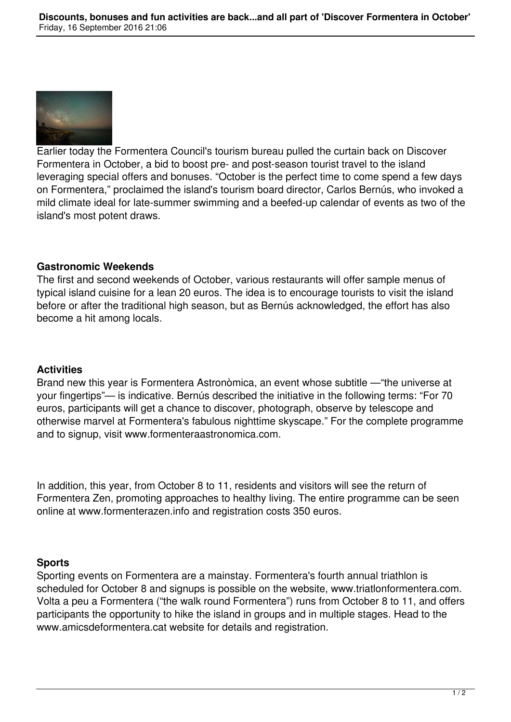

Earlier today the Formentera Council's tourism bureau pulled the curtain back on Discover Formentera in October, a bid to boost pre- and post-season tourist travel to the island leveraging special offers and bonuses. "October is the perfect time to come spend a few days on Formentera," proclaimed the island's tourism board director, Carlos Bernús, who invoked a mild climate ideal for late-summer swimming and a beefed-up calendar of events as two of the island's most potent draws.

#### **Gastronomic Weekends**

The first and second weekends of October, various restaurants will offer sample menus of typical island cuisine for a lean 20 euros. The idea is to encourage tourists to visit the island before or after the traditional high season, but as Bernús acknowledged, the effort has also become a hit among locals.

#### **Activities**

Brand new this year is Formentera Astronòmica, an event whose subtitle —"the universe at your fingertips"— is indicative. Bernús described the initiative in the following terms: "For 70 euros, participants will get a chance to discover, photograph, observe by telescope and otherwise marvel at Formentera's fabulous nighttime skyscape." For the complete programme and to signup, visit www.formenteraastronomica.com.

In addition, this year, from October 8 to 11, residents and visitors will see the return of Formentera Zen, promoting approaches to healthy living. The entire programme can be seen online at www.formenterazen.info and registration costs 350 euros.

### **Sports**

Sporting events on Formentera are a mainstay. Formentera's fourth annual triathlon is scheduled for October 8 and signups is possible on the website, www.triatlonformentera.com. Volta a peu a Formentera ("the walk round Formentera") runs from October 8 to 11, and offers participants the opportunity to hike the island in groups and in multiple stages. Head to the www.amicsdeformentera.cat website for details and registration.